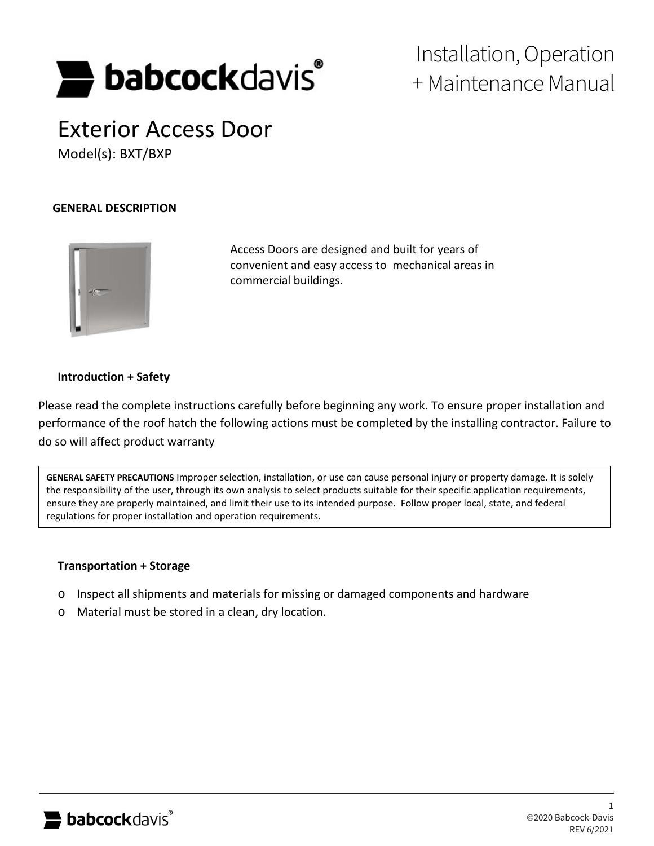

# Installation, Operation + Maintenance Manual

# Exterior Access Door Model(s): BXT/BXP

## **GENERAL DESCRIPTION**



Access Doors are designed and built for years of convenient and easy access to mechanical areas in commercial buildings.

#### **Introduction + Safety**

Please read the complete instructions carefully before beginning any work. To ensure proper installation and performance of the roof hatch the following actions must be completed by the installing contractor. Failure to do so will affect product warranty

**GENERAL SAFETY PRECAUTIONS** Improper selection, installation, or use can cause personal injury or property damage. It is solely the responsibility of the user, through its own analysis to select products suitable for their specific application requirements, ensure they are properly maintained, and limit their use to its intended purpose. Follow proper local, state, and federal regulations for proper installation and operation requirements.

#### **Transportation + Storage**

- o Inspect all shipments and materials for missing or damaged components and hardware
- o Material must be stored in a clean, dry location.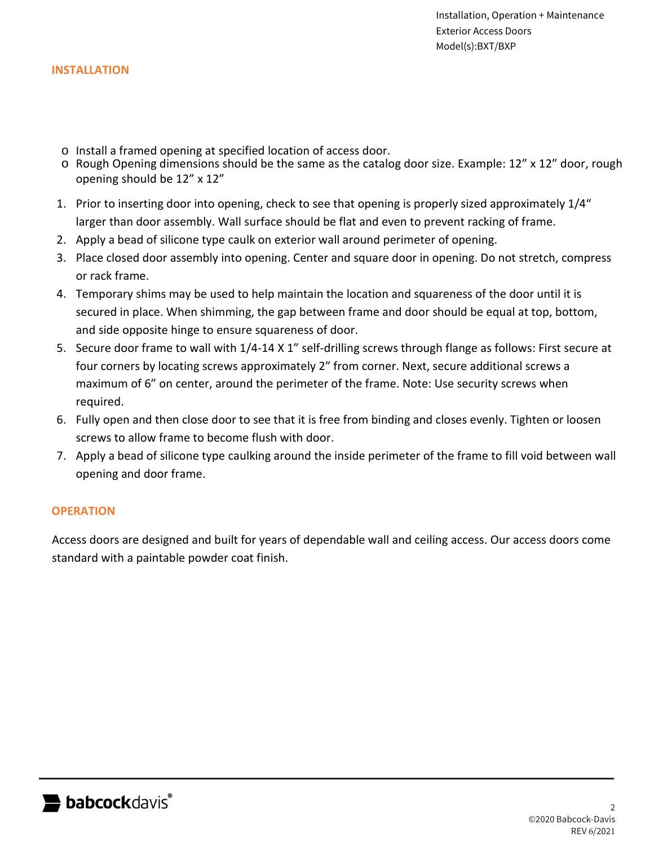#### **INSTALLATION**

- o Install a framed opening at specified location of access door.
- o Rough Opening dimensions should be the same as the catalog door size. Example: 12" x 12" door, rough opening should be 12" x 12"
- 1. Prior to inserting door into opening, check to see that opening is properly sized approximately 1/4" larger than door assembly. Wall surface should be flat and even to prevent racking of frame.
- 2. Apply a bead of silicone type caulk on exterior wall around perimeter of opening.
- 3. Place closed door assembly into opening. Center and square door in opening. Do not stretch, compress or rack frame.
- 4. Temporary shims may be used to help maintain the location and squareness of the door until it is secured in place. When shimming, the gap between frame and door should be equal at top, bottom, and side opposite hinge to ensure squareness of door.
- 5. Secure door frame to wall with 1/4-14 X 1" self-drilling screws through flange as follows: First secure at four corners by locating screws approximately 2" from corner. Next, secure additional screws a maximum of 6" on center, around the perimeter of the frame. Note: Use security screws when required.
- 6. Fully open and then close door to see that it is free from binding and closes evenly. Tighten or loosen screws to allow frame to become flush with door.
- 7. Apply a bead of silicone type caulking around the inside perimeter of the frame to fill void between wall opening and door frame.

# **OPERATION**

Access doors are designed and built for years of dependable wall and ceiling access. Our access doors come standard with a paintable powder coat finish.